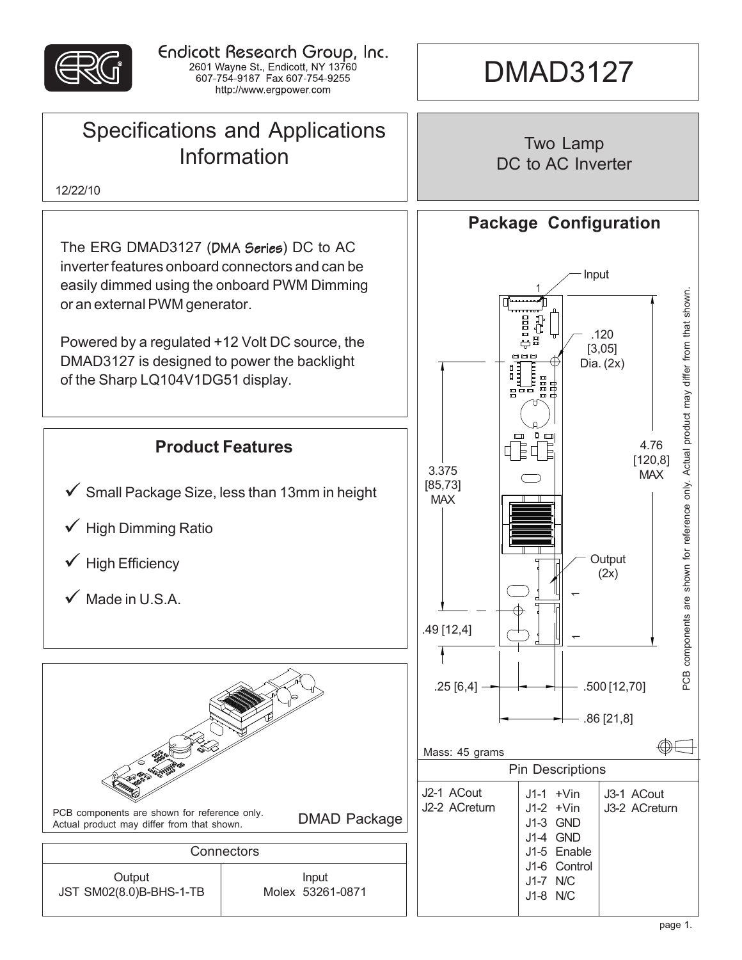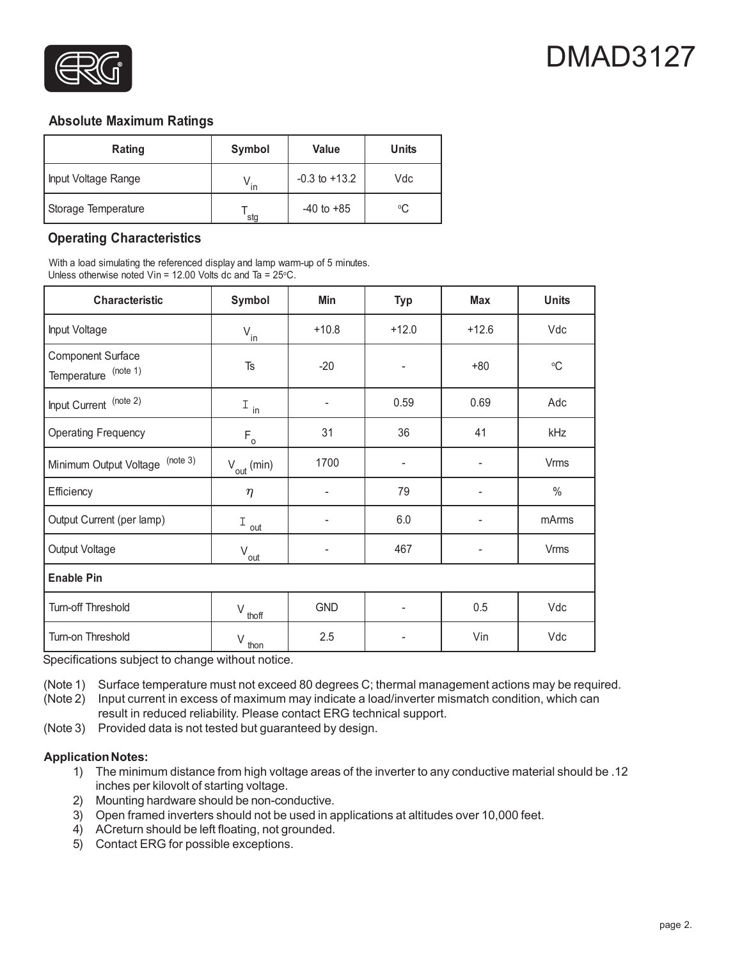

# DMAD3127

### **Absolute Maximum Ratings**

| Rating              | Symbol       | <b>Value</b>      | <b>Units</b> |
|---------------------|--------------|-------------------|--------------|
| Input Voltage Range | $\mathsf{I}$ | $-0.3$ to $+13.2$ | Vdc          |
| Storage Temperature | stg          | $-40$ to $+85$    | °C           |

# **Operating Characteristics**

With a load simulating the referenced display and lamp warm-up of 5 minutes. Unless otherwise noted  $V$ in = 12.00 Volts dc and Ta = 25 $\degree$ C.

| <b>Characteristic</b>                            | Symbol                 | Min                          | <b>Typ</b>               | <b>Max</b> | <b>Units</b>    |  |  |
|--------------------------------------------------|------------------------|------------------------------|--------------------------|------------|-----------------|--|--|
| Input Voltage                                    | $V_{in}$               | $+10.8$                      | $+12.0$                  | $+12.6$    | Vdc             |  |  |
| <b>Component Surface</b><br>Temperature (note 1) | Ts                     | $-20$                        | $\overline{\phantom{m}}$ | $+80$      | $\rm ^{\circ}C$ |  |  |
| Input Current (note 2)                           | $I_{\text{in}}$        | $\overline{\phantom{a}}$     | 0.59                     | 0.69       | Adc             |  |  |
| <b>Operating Frequency</b>                       | $F_{\circ}$            | 31                           | 36                       | 41         | kHz             |  |  |
| (note 3)<br>Minimum Output Voltage               | $V_{\text{out}}$ (min) | 1700                         | -                        |            | <b>Vrms</b>     |  |  |
| Efficiency                                       | $\eta$                 | $\qquad \qquad \blacksquare$ | 79                       |            | $\%$            |  |  |
| Output Current (per lamp)                        | Ι<br>out               | $\qquad \qquad \blacksquare$ | 6.0                      |            | mArms           |  |  |
| Output Voltage                                   | $V_{\underline{out}}$  | ٠                            | 467                      |            | Vrms            |  |  |
| <b>Enable Pin</b>                                |                        |                              |                          |            |                 |  |  |
| Turn-off Threshold                               | $V_{\text{thoff}}$     | <b>GND</b>                   | ٠                        | 0.5        | Vdc             |  |  |
| Turn-on Threshold                                | $V_{\text{thon}}$      | 2.5                          | $\overline{a}$           | Vin        | Vdc             |  |  |

Specifications subject to change without notice.

(Note 1) Surface temperature must not exceed 80 degrees C; thermal management actions may be required.

(Note 2) Input current in excess of maximum may indicate a load/inverter mismatch condition, which can result in reduced reliability. Please contact ERG technical support.

(Note 3) Provided data is not tested but guaranteed by design.

#### **Application Notes:**

- 1) The minimum distance from high voltage areas of the inverter to any conductive material should be .12 inches per kilovolt of starting voltage.
- 2) Mounting hardware should be non-conductive.
- 3) Open framed inverters should not be used in applications at altitudes over 10,000 feet.
- 4) ACreturn should be left floating, not grounded.
- 5) Contact ERG for possible exceptions.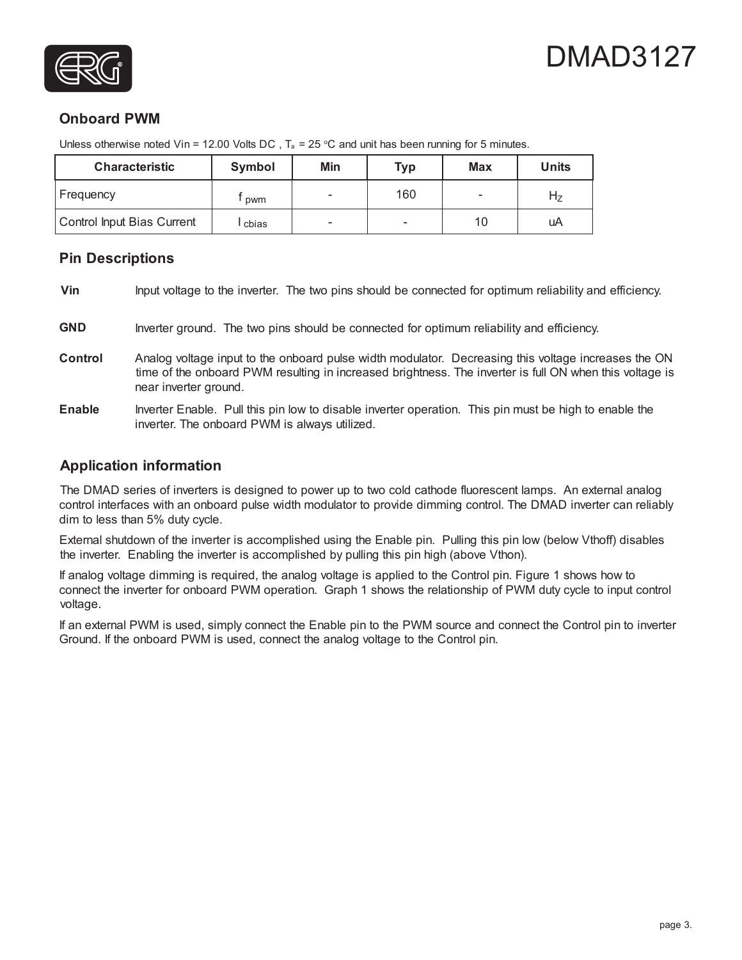



# **Onboard PWM**

| <b>Characteristic</b>      | Symbol | Min | <b>Typ</b> | <b>Max</b> | <b>Units</b> |
|----------------------------|--------|-----|------------|------------|--------------|
| Frequency                  | pwm    |     | 160        |            | п7           |
| Control Input Bias Current | cbias  |     | -          | 10         | uA           |

Unless otherwise noted Vin = 12.00 Volts DC,  $T_a$  = 25 °C and unit has been running for 5 minutes.

### **Pin Descriptions**

**Vin** Input voltage to the inverter. The two pins should be connected for optimum reliability and efficiency.

- **GND** Inverter ground. The two pins should be connected for optimum reliability and efficiency.
- **Control** Analog voltage input to the onboard pulse width modulator. Decreasing this voltage increases the ON time of the onboard PWM resulting in increased brightness. The inverter is full ON when this voltage is near inverter ground.
- **Enable** Inverter Enable. Pull this pin low to disable inverter operation. This pin must be high to enable the inverter. The onboard PWM is always utilized.

## **Application information**

The DMAD series of inverters is designed to power up to two cold cathode fluorescent lamps. An external analog control interfaces with an onboard pulse width modulator to provide dimming control. The DMAD inverter can reliably dim to less than 5% duty cycle.

External shutdown of the inverter is accomplished using the Enable pin. Pulling this pin low (below Vthoff) disables the inverter. Enabling the inverter is accomplished by pulling this pin high (above Vthon).

If analog voltage dimming is required, the analog voltage is applied to the Control pin. Figure 1 shows how to connect the inverter for onboard PWM operation. Graph 1 shows the relationship of PWM duty cycle to input control voltage.

If an external PWM is used, simply connect the Enable pin to the PWM source and connect the Control pin to inverter Ground. If the onboard PWM is used, connect the analog voltage to the Control pin.